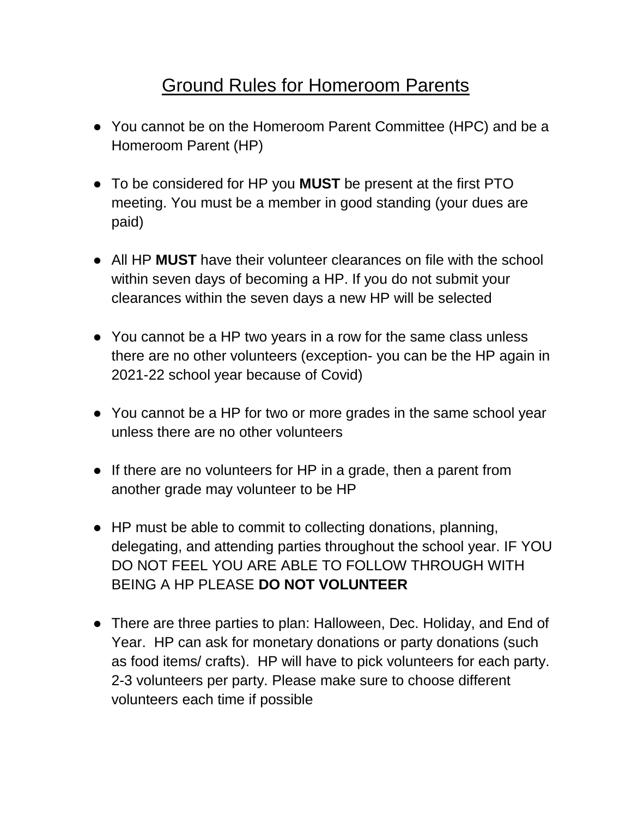## Ground Rules for Homeroom Parents

- You cannot be on the Homeroom Parent Committee (HPC) and be a Homeroom Parent (HP)
- To be considered for HP you **MUST** be present at the first PTO meeting. You must be a member in good standing (your dues are paid)
- All HP **MUST** have their volunteer clearances on file with the school within seven days of becoming a HP. If you do not submit your clearances within the seven days a new HP will be selected
- You cannot be a HP two years in a row for the same class unless there are no other volunteers (exception- you can be the HP again in 2021-22 school year because of Covid)
- You cannot be a HP for two or more grades in the same school year unless there are no other volunteers
- If there are no volunteers for HP in a grade, then a parent from another grade may volunteer to be HP
- HP must be able to commit to collecting donations, planning, delegating, and attending parties throughout the school year. IF YOU DO NOT FEEL YOU ARE ABLE TO FOLLOW THROUGH WITH BEING A HP PLEASE **DO NOT VOLUNTEER**
- There are three parties to plan: Halloween, Dec. Holiday, and End of Year. HP can ask for monetary donations or party donations (such as food items/ crafts). HP will have to pick volunteers for each party. 2-3 volunteers per party. Please make sure to choose different volunteers each time if possible